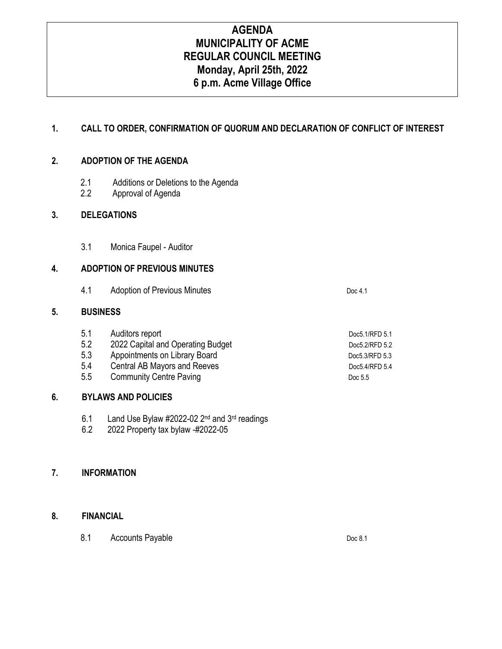# **AGENDA MUNICIPALITY OF ACME REGULAR COUNCIL MEETING Monday, April 25th, 2022 6 p.m. Acme Village Office**

### **1. CALL TO ORDER, CONFIRMATION OF QUORUM AND DECLARATION OF CONFLICT OF INTEREST**

### **2. ADOPTION OF THE AGENDA**

- 2.1 Additions or Deletions to the Agenda
- 2.2 Approval of Agenda

### **3. DELEGATIONS**

3.1 Monica Faupel - Auditor

### **4. ADOPTION OF PREVIOUS MINUTES**

4.1 Adoption of Previous Minutes **Doc 4.1** Doc 4.1

### **5. BUSINESS**

| 5.1 | Auditors report                   | Doc5.1/RFD 5.1 |
|-----|-----------------------------------|----------------|
| 5.2 | 2022 Capital and Operating Budget | Doc5.2/RFD 5.2 |
| 5.3 | Appointments on Library Board     | Doc5.3/RFD 5.3 |
| 5.4 | Central AB Mayors and Reeves      | Doc5.4/RFD 5.4 |
| 5.5 | <b>Community Centre Paving</b>    | Doc 5.5        |

### **6. BYLAWS AND POLICIES**

- 6.1 Land Use Bylaw #2022-02  $2^{nd}$  and  $3^{rd}$  readings 6.2 2022 Property tax bylaw -#2022-05
- 6.2 2022 Property tax bylaw -#2022-05

### **7. INFORMATION**

### **8. FINANCIAL**

8.1 Accounts Payable Doc 8.1